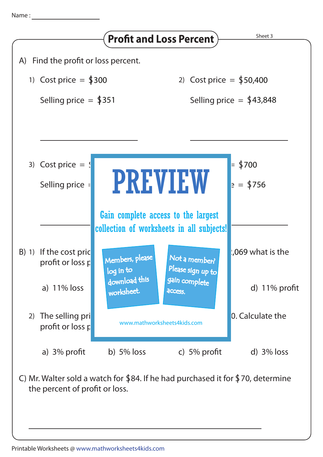

C) Mr. Walter sold a watch for  $$84$ . If he had purchased it for  $$70$ , determine the percent of profit or loss.